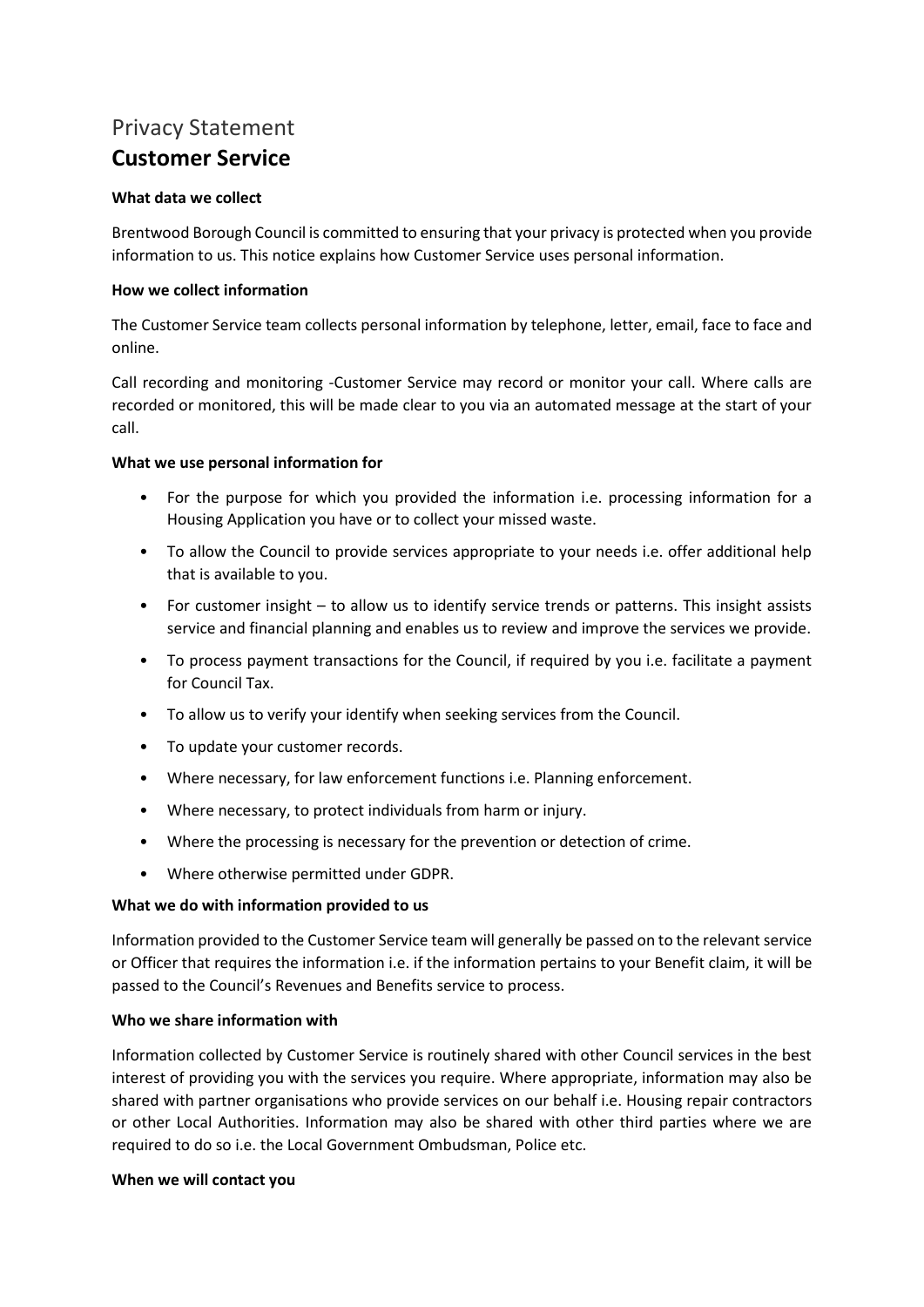# Privacy Statement **Customer Service**

## **What data we collect**

Brentwood Borough Council is committed to ensuring that your privacy is protected when you provide information to us. This notice explains how Customer Service uses personal information.

## **How we collect information**

The Customer Service team collects personal information by telephone, letter, email, face to face and online.

Call recording and monitoring -Customer Service may record or monitor your call. Where calls are recorded or monitored, this will be made clear to you via an automated message at the start of your call.

## **What we use personal information for**

- For the purpose for which you provided the information i.e. processing information for a Housing Application you have or to collect your missed waste.
- To allow the Council to provide services appropriate to your needs i.e. offer additional help that is available to you.
- For customer insight to allow us to identify service trends or patterns. This insight assists service and financial planning and enables us to review and improve the services we provide.
- To process payment transactions for the Council, if required by you i.e. facilitate a payment for Council Tax.
- To allow us to verify your identify when seeking services from the Council.
- To update your customer records.
- Where necessary, for law enforcement functions i.e. Planning enforcement.
- Where necessary, to protect individuals from harm or injury.
- Where the processing is necessary for the prevention or detection of crime.
- Where otherwise permitted under GDPR.

#### **What we do with information provided to us**

Information provided to the Customer Service team will generally be passed on to the relevant service or Officer that requires the information i.e. if the information pertains to your Benefit claim, it will be passed to the Council's Revenues and Benefits service to process.

## **Who we share information with**

Information collected by Customer Service is routinely shared with other Council services in the best interest of providing you with the services you require. Where appropriate, information may also be shared with partner organisations who provide services on our behalf i.e. Housing repair contractors or other Local Authorities. Information may also be shared with other third parties where we are required to do so i.e. the Local Government Ombudsman, Police etc.

#### **When we will contact you**